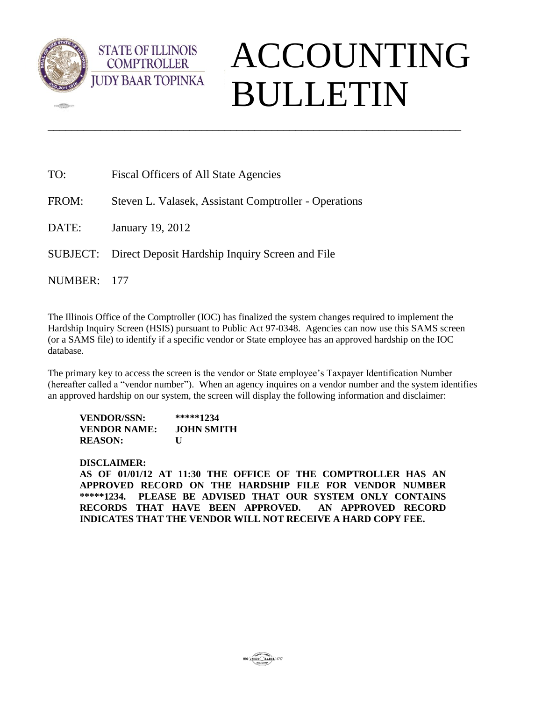

 $\frac{1}{2}$ 

# ACCOUNTING BULLETIN

| TO:     | <b>Fiscal Officers of All State Agencies</b>             |  |  |  |  |
|---------|----------------------------------------------------------|--|--|--|--|
| FROM:   | Steven L. Valasek, Assistant Comptroller - Operations    |  |  |  |  |
| DATE:   | January 19, 2012                                         |  |  |  |  |
|         | SUBJECT: Direct Deposit Hardship Inquiry Screen and File |  |  |  |  |
| NUMBER: | - 177                                                    |  |  |  |  |

The Illinois Office of the Comptroller (IOC) has finalized the system changes required to implement the Hardship Inquiry Screen (HSIS) pursuant to Public Act 97-0348. Agencies can now use this SAMS screen (or a SAMS file) to identify if a specific vendor or State employee has an approved hardship on the IOC database.

\_\_\_\_\_\_\_\_\_\_\_\_\_\_\_\_\_\_\_\_\_\_\_\_\_\_\_\_\_\_\_\_\_\_\_\_\_\_\_\_\_\_\_\_\_\_\_\_\_\_\_\_\_\_\_\_\_\_\_\_\_\_\_\_\_\_\_\_\_\_

The primary key to access the screen is the vendor or State employee's Taxpayer Identification Number (hereafter called a "vendor number"). When an agency inquires on a vendor number and the system identifies an approved hardship on our system, the screen will display the following information and disclaimer:

| VENDOR/SSN:    | *****1234  |
|----------------|------------|
| VENDOR NAME:   | JOHN SMITH |
| <b>REASON:</b> | U          |

**STATE OF ILLINOIS COMPTROLLER** 

#### **DISCLAIMER:**

**AS OF 01/01/12 AT 11:30 THE OFFICE OF THE COMPTROLLER HAS AN APPROVED RECORD ON THE HARDSHIP FILE FOR VENDOR NUMBER \*\*\*\*\*1234. PLEASE BE ADVISED THAT OUR SYSTEM ONLY CONTAINS RECORDS THAT HAVE BEEN APPROVED. AN APPROVED RECORD INDICATES THAT THE VENDOR WILL NOT RECEIVE A HARD COPY FEE.**

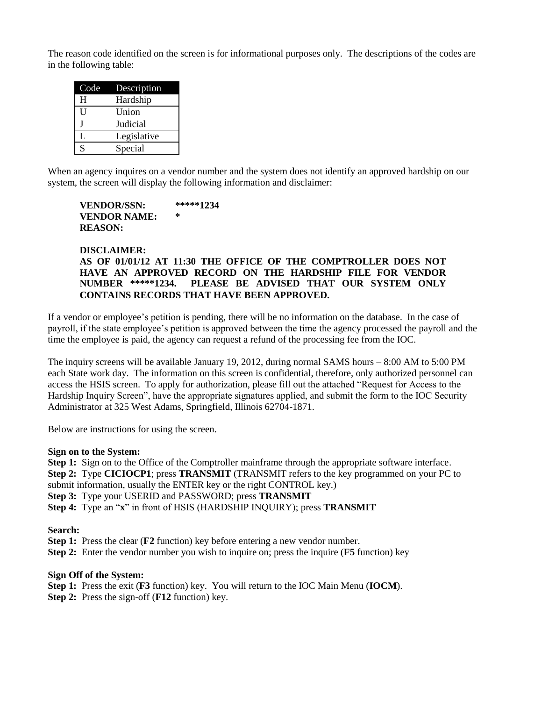The reason code identified on the screen is for informational purposes only. The descriptions of the codes are in the following table:

| Code | Description |
|------|-------------|
| H    | Hardship    |
| U    | Union       |
|      | Judicial    |
| L    | Legislative |
| S    | Special     |

When an agency inquires on a vendor number and the system does not identify an approved hardship on our system, the screen will display the following information and disclaimer:

#### **VENDOR/SSN: \*\*\*\*\*1234 VENDOR NAME: \* REASON:**

#### **DISCLAIMER: AS OF 01/01/12 AT 11:30 THE OFFICE OF THE COMPTROLLER DOES NOT HAVE AN APPROVED RECORD ON THE HARDSHIP FILE FOR VENDOR**  PLEASE BE ADVISED THAT OUR SYSTEM ONLY **CONTAINS RECORDS THAT HAVE BEEN APPROVED.**

If a vendor or employee's petition is pending, there will be no information on the database. In the case of payroll, if the state employee's petition is approved between the time the agency processed the payroll and the time the employee is paid, the agency can request a refund of the processing fee from the IOC.

The inquiry screens will be available January 19, 2012, during normal SAMS hours – 8:00 AM to 5:00 PM each State work day. The information on this screen is confidential, therefore, only authorized personnel can access the HSIS screen. To apply for authorization, please fill out the attached "Request for Access to the Hardship Inquiry Screen", have the appropriate signatures applied, and submit the form to the IOC Security Administrator at 325 West Adams, Springfield, Illinois 62704-1871.

Below are instructions for using the screen.

#### **Sign on to the System:**

**Step 1:** Sign on to the Office of the Comptroller mainframe through the appropriate software interface.

**Step 2:** Type **CICIOCP1**; press **TRANSMIT** (TRANSMIT refers to the key programmed on your PC to

submit information, usually the ENTER key or the right CONTROL key.)

**Step 3:** Type your USERID and PASSWORD; press **TRANSMIT**

**Step 4:** Type an "**x**" in front of HSIS (HARDSHIP INQUIRY); press **TRANSMIT**

#### **Search:**

**Step 1:** Press the clear (**F2** function) key before entering a new vendor number.

**Step 2:** Enter the vendor number you wish to inquire on; press the inquire (**F5** function) key

#### **Sign Off of the System:**

**Step 1:** Press the exit (**F3** function) key. You will return to the IOC Main Menu (**IOCM**).

**Step 2:** Press the sign-off (**F12** function) key.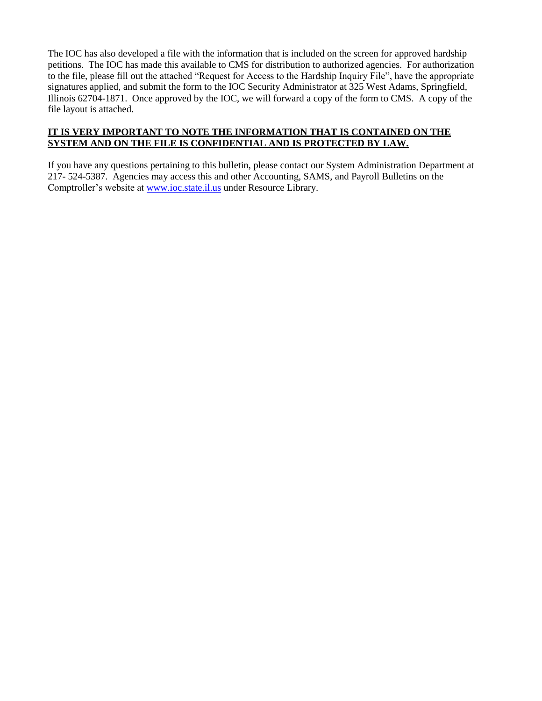The IOC has also developed a file with the information that is included on the screen for approved hardship petitions. The IOC has made this available to CMS for distribution to authorized agencies. For authorization to the file, please fill out the attached "Request for Access to the Hardship Inquiry File", have the appropriate signatures applied, and submit the form to the IOC Security Administrator at 325 West Adams, Springfield, Illinois 62704-1871. Once approved by the IOC, we will forward a copy of the form to CMS. A copy of the file layout is attached.

#### **IT IS VERY IMPORTANT TO NOTE THE INFORMATION THAT IS CONTAINED ON THE SYSTEM AND ON THE FILE IS CONFIDENTIAL AND IS PROTECTED BY LAW.**

If you have any questions pertaining to this bulletin, please contact our System Administration Department at 217- 524-5387. Agencies may access this and other Accounting, SAMS, and Payroll Bulletins on the Comptroller's website at www.ioc.state.il.us under Resource Library.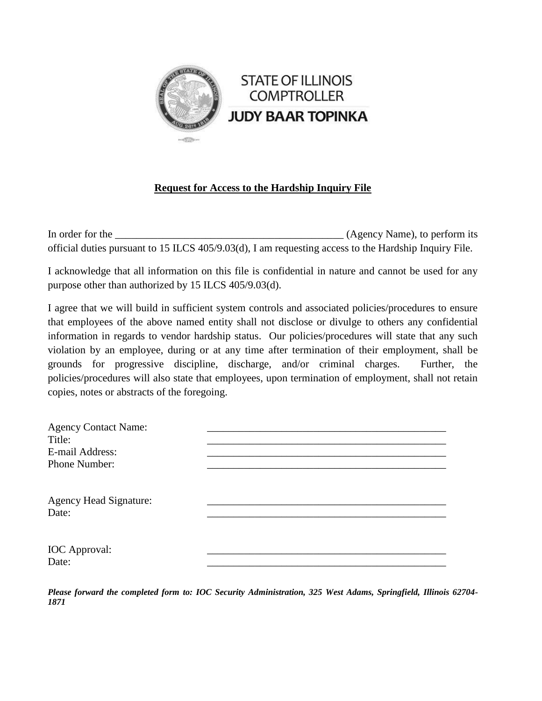

## **Request for Access to the Hardship Inquiry File**

In order for the (Agency Name), to perform its official duties pursuant to 15 ILCS 405/9.03(d), I am requesting access to the Hardship Inquiry File.

I acknowledge that all information on this file is confidential in nature and cannot be used for any purpose other than authorized by 15 ILCS 405/9.03(d).

I agree that we will build in sufficient system controls and associated policies/procedures to ensure that employees of the above named entity shall not disclose or divulge to others any confidential information in regards to vendor hardship status. Our policies/procedures will state that any such violation by an employee, during or at any time after termination of their employment, shall be grounds for progressive discipline, discharge, and/or criminal charges. Further, the policies/procedures will also state that employees, upon termination of employment, shall not retain copies, notes or abstracts of the foregoing.

| <b>Agency Contact Name:</b>            |  |
|----------------------------------------|--|
| Title:                                 |  |
| E-mail Address:                        |  |
| Phone Number:                          |  |
| <b>Agency Head Signature:</b><br>Date: |  |
| <b>IOC</b> Approval:<br>Date:          |  |

*Please forward the completed form to: IOC Security Administration, 325 West Adams, Springfield, Illinois 62704- 1871*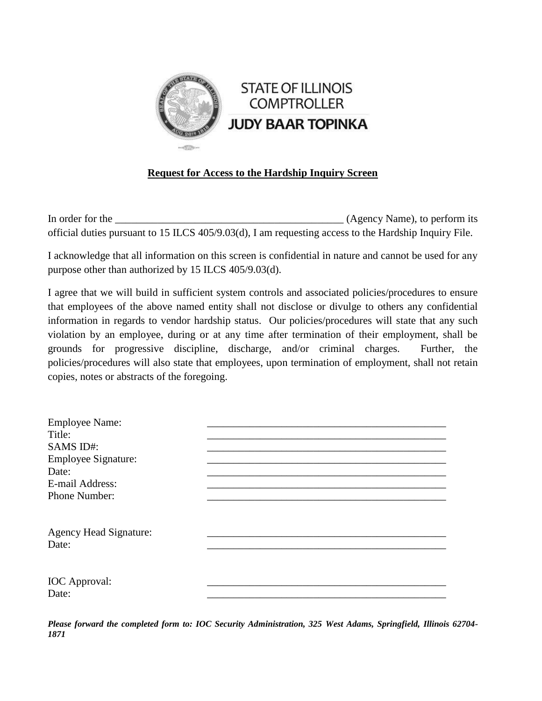

### **Request for Access to the Hardship Inquiry Screen**

In order for the \_\_\_\_\_\_\_\_\_\_\_\_\_\_\_\_\_\_\_\_\_\_\_\_\_\_\_\_\_\_\_\_\_\_\_\_\_\_\_\_\_\_\_ (Agency Name), to perform its official duties pursuant to 15 ILCS 405/9.03(d), I am requesting access to the Hardship Inquiry File.

I acknowledge that all information on this screen is confidential in nature and cannot be used for any purpose other than authorized by 15 ILCS 405/9.03(d).

I agree that we will build in sufficient system controls and associated policies/procedures to ensure that employees of the above named entity shall not disclose or divulge to others any confidential information in regards to vendor hardship status. Our policies/procedures will state that any such violation by an employee, during or at any time after termination of their employment, shall be grounds for progressive discipline, discharge, and/or criminal charges. Further, the policies/procedures will also state that employees, upon termination of employment, shall not retain copies, notes or abstracts of the foregoing.

| <b>Employee Name:</b>         |  |
|-------------------------------|--|
| Title:                        |  |
| SAMS ID#:                     |  |
| <b>Employee Signature:</b>    |  |
| Date:                         |  |
| E-mail Address:               |  |
| Phone Number:                 |  |
|                               |  |
| <b>Agency Head Signature:</b> |  |
| Date:                         |  |
|                               |  |
| <b>IOC</b> Approval:          |  |
| Date:                         |  |

*Please forward the completed form to: IOC Security Administration, 325 West Adams, Springfield, Illinois 62704- 1871*